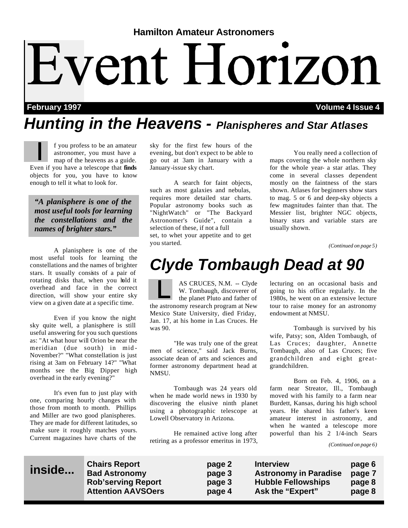# **Hamilton Amateur Astronomers** Event Horizon

#### **February 1997 Volume 4 Issue 4**

### *Hunting in the Heavens - Planispheres and Star Atlases*

f you profess to be an amateur astronomer, you must have a map of the heavens as a guide. Even if you have a telescope that **finds** objects for you, you have to know enough to tell it what to look for.

*"A planisphere is one of the most useful tools for learning the constellations and the names of brighter stars."*

 A planisphere is one of the most useful tools for learning the constellations and the names of brighter stars. It usually consists of a pair of rotating disks that, when you hold it overhead and face in the correct direction, will show your entire sky view on a given date at a specific time.

 Even if you know the night sky quite well, a planisphere is still useful answering for you such questions as: "At what hour will Orion be near the meridian (due south) in mid - November?" "What constellation is just rising at 3am on February 14?" "What months see the Big Dipper high overhead in the early evening?"

 It's even fun to just play with one, comparing hourly changes with those from month to month. Phillips and Miller are two good planispheres. They are made for different latitudes, so make sure it roughly matches yours. Current magazines have charts of the

sky for the first few hours of the evening, but don't expect to be able to go out at 3am in January with a January-issue sky chart.

 A search for faint objects, such as most galaxies and nebulas, requires more detailed star charts. Popular astronomy books such as "NightWatch" or "The Backyard Astronomer's Guide", contain a selection of these, if not a full set, to whet your appetite and to get you started.

 You really need a collection of maps covering the whole northern sky for the whole year- a star atlas. They come in several classes dependent mostly on the faintness of the stars shown. Atlases for beginners show stars to mag. 5 or 6 and deep-sky objects a few magnitudes fainter than that. The Messier list, brighter NGC objects, binary stars and variable stars are usually shown.

*(Continued on page 5)*

### *Clyde Tombaugh Dead at 90*

AS CRUCES, N.M. -- Clyde W. Tombaugh, discoverer of the planet Pluto and father of the astronomy research program at New Mexico State University, died Friday, Jan. 17, at his home in Las Cruces. He was 90.

 "He was truly one of the great men of science," said Jack Burns, associate dean of arts and sciences and former astronomy department head at NMSU.

 Tombaugh was 24 years old when he made world news in 1930 by discovering the elusive ninth planet using a photographic telescope at Lowell Observatory in Arizona.

 He remained active long after retiring as a professor emeritus in 1973,

lecturing on an occasional basis and going to his office regularly. In the 1980s, he went on an extensive lecture tour to raise money for an astronomy endowment at NMSU.

 Tombaugh is survived by his wife, Patsy; son, Alden Tombaugh, of Las Cruces; daughter, Annette Tombaugh, also of Las Cruces; five grandchildren and eight greatgrandchildren.

 Born on Feb. 4, 1906, on a farm near Streator, Ill., Tombaugh moved with his family to a farm near Burdett, Kansas, during his high school years. He shared his father's keen amateur interest in astronomy, and when he wanted a telescope more powerful than his 2 1/4-inch Sears

*(Continued on page 6)*

### **inside...**

**Chairs Report page 2 Interview page 6** page 3 Astronomy in Paradise page 7 **Rob'serving Report page 3 Hubble Fellowships page 8 Attention AAVSOers page 4 Ask the "Expert" page 8**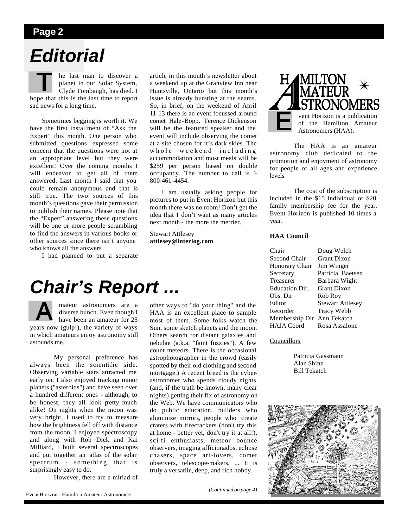#### **Page 2**

### *Editorial*

he last man to discover a planet in our Solar System, Clyde Tombaugh, has died. I hope that this is the last time to report sad news for a long time.

 Sometimes begging is worth it. We have the first installment of "Ask the Expert" this month. One person who submitted questions expressed some concern that the questions were not at an appropriate level but they were excellent! Over the coming months I will endeavor to get all of them answered. Last month I said that you could remain anonymous and that is still true. The two sources of this month's questions gave their permission to publish their names. Please note that the "Expert" answering these questions will be one or more people scrambling to find the answers in various books or other sources since there isn't anyone who knows all the answers .

I had planned to put a separate

article in this month's newsletter about a weekend up at the Granview Inn near Huntsville, Ontario but this month's issue is already bursting at the seams. So, in brief, on the weekend of April 11-13 there is an event focussed around comet Hale-Bopp. Terence Dickenson will be the featured speaker and the event will include observing the comet at a site chosen for it's dark skies. The whole weekend including accommodation and most meals will be \$259 per person based on double occupancy. The number to call is 1- 800-461-4454.

 I am usually asking people for pictures to put in Event Horizon but this month there was no room! Don't get the idea that I don't want as many articles next month - the more the merrier.

Stewart Attlesey **attlesey@interlog.com**



 The HAA is an amateur astronomy club dedicated to the promotion and enjoyment of astronomy for people of all ages and experience levels

 The cost of the subscription is included in the \$15 individual or \$20 family membership fee for the year. Event Horizon is published 10 times a year.

#### **HAA Council**

| Doug Welch                    |
|-------------------------------|
| <b>Grant Dixon</b>            |
| Jim Winger                    |
| Patricia Baetsen              |
| Barbara Wight                 |
| <b>Grant Dixon</b>            |
| Rob Roy                       |
| <b>Stewart Attlesey</b>       |
| <b>Tracy Webb</b>             |
| Membership Dir<br>Ann Tekatch |
| Rosa Assalone                 |
|                               |

#### Councillors

 Patricia Gassmann Alan Shinn Bill Tekatch



# *Chair's Report ...*

mateur astronomers are a diverse bunch. Even though I have been an amateur for 25 years now (gulp!), the variety of ways in which amateurs enjoy astronomy still astounds me.

 My personal preference has always been the scientific side. Observing variable stars attracted me early on. I also enjoyed tracking minor planets ("asteroids") and have seen over a hundred different ones - although, to be honest, they all look pretty much alike! On nights when the moon was very bright, I used to try to measure how the brightness fell off with distance from the moon. I enjoyed spectroscopy and along with Rob Dick and Kai Milliard, I built several spectroscopes and put together an atlas of the solar spectrum - something that is surprisingly easy to do.

However, there are a miriad of

other ways to "do your thing" and the HAA is an excellent place to sample most of them. Some folks watch the Sun, some sketch planets and the moon. Others search for distant galaxies and nebulae (a.k.a. "faint fuzzies"). A few count meteors. There is the occasional astrophotographer in the crowd (easily spotted by their old clothing and second mortgage.) A recent breed is the cyberastronomer who spends cloudy nights (and, if the truth be known, many clear nights) getting their fix of astronomy on the Web. We have communicators who do public education, builders who aluminize mirrors, people who create craters with firecrackers (don't try this at home - better yet, don't try it at all!), sci-fi enthusiasts, meteor bounce observers, imaging afficionados, eclipse chasers, space art-lovers, comet observers, telescope-makers, ... It is truly a versatile, deep, and rich hobby.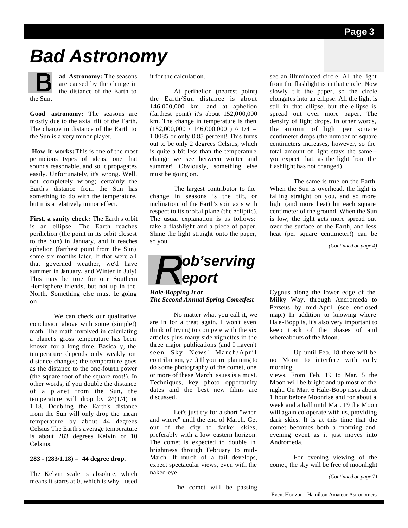# *Bad Astronomy*

the Sun.

**ad Astronomy:** The seasons are caused by the change in the distance of the Earth to

**Good astronomy:** The seasons are mostly due to the axial tilt of the Earth. The change in distance of the Earth to the Sun is a very minor player.

**How it works:** This is one of the most pernicious types of ideas: one that sounds reasonable, and so it propagates easily. Unfortunately, it's wrong. Well, not completely wrong; certainly the Earth's distance from the Sun has something to do with the temperature, but it is a relatively minor effect.

**First, a sanity check:** The Earth's orbit is an ellipse. The Earth reaches perihelion (the point in its orbit closest to the Sun) in January, and it reaches aphelion (farthest point from the Sun) some six months later. If that were all that governed weather, we'd have summer in January, and Winter in July! This may be true for our Southern Hemisphere friends, but not up in the North. Something else must be going on.

 We can check our qualitative conclusion above with some (simple!) math. The math involved in calculating a planet's gross temperature has been known for a long time. Basically, the temperature depends only weakly on distance changes; the temperature goes as the distance to the one-fourth power (the square root of the square root!). In other words, if you double the distance of a planet from the Sun, the temperature will drop by  $2^{\wedge}(1/4)$  or 1.18. Doubling the Earth's distance from the Sun will only drop the mean temperature by about 44 degrees Celsius The Earth's average temperature is about 283 degrees Kelvin or 10 Celsius.

#### **283 - (283/1.18) = 44 degree drop.**

The Kelvin scale is absolute, which means it starts at 0, which is why I used it for the calculation.

 At perihelion (nearest point) the Earth/Sun distance is about 146,000,000 km, and at aphelion (farthest point) it's about 152,000,000 km. The change in temperature is then  $(152,000,000 / 146,000,000)$  ^ 1/4 = 1.0085 or only 0.85 percent! This turns out to be only 2 degrees Celsius, which is quite a bit less than the temperature change we see between winter and summer! Obviously, something else must be going on.

 The largest contributor to the change in seasons is the tilt, or inclination, of the Earth's spin axis with respect to its orbital plane (the ecliptic). The usual explanation is as follows: take a flashlight and a piece of paper. Shine the light straight onto the paper, so you



*Hale-Bopping It or The Second Annual Spring Cometfest*

 No matter what you call it, we are in for a treat again. I won't even think of trying to compete with the six articles plus many side vignettes in the three major publications (and I haven't seen Sky News' March/April contribution, yet.) If you are planning to do some photography of the comet, one or more of these March issues is a must. Techniques, key photo opportunity dates and the best new films are discussed.

 Let's just try for a short "when and where" until the end of March. Get out of the city to darker skies, preferably with a low eastern horizon. The comet is expected to double in brightness through February to mid-March. If much of a tail develops, expect spectacular views, even with the naked-eye.

The comet will be passing

see an illuminated circle. All the light from the flashlight is in that circle. Now slowly tilt the paper, so the circle elongates into an ellipse. All the light is still in that ellipse, but the ellipse is spread out over more paper. The density of light drops. In other words, the amount of light per square centimeter drops (the number of square centimeters increases, however, so the total amount of light stays the same- you expect that, as the light from the flashlight has not changed).

 The same is true on the Earth. When the Sun is overhead, the light is falling straight on you, and so more light (and more heat) hit each square centimeter of the ground. When the Sun is low, the light gets more spread out over the surface of the Earth, and less heat (per square centimeter!) can be

*(Continued on page 4)*

Cygnus along the lower edge of the Milky Way, through Andromeda to Perseus by mid-April (see enclosed map.) In addition to knowing where Hale -Bopp is, it's also very important to keep track of the phases of and whereabouts of the Moon.

 Up until Feb. 18 there will be no Moon to interfere with early morning

views. From Feb. 19 to Mar. 5 the Moon will be bright and up most of the night. On Mar. 6 Hale-Bopp rises about 1 hour before Moonrise and for about a week and a half until Mar. 19 the Moon will again co-operate with us, providing dark skies. It is at this time that the comet becomes both a morning and evening event as it just moves into Andromeda.

 For evening viewing of the comet, the sky will be free of moonlight

*(Continued on page 7)*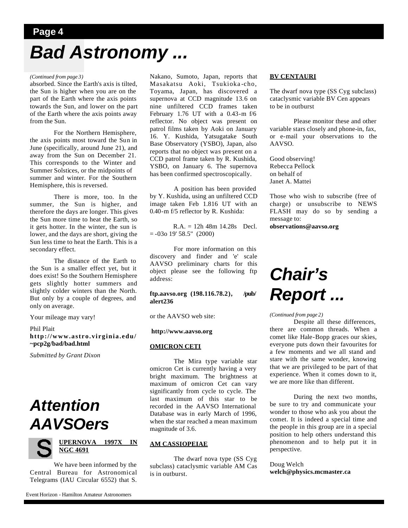### **Page 4** *Bad Astronomy ...*

#### *(Continued from page 3)*

absorbed. Since the Earth's axis is tilted, the Sun is higher when you are on the part of the Earth where the axis points towards the Sun, and lower on the part of the Earth where the axis points away from the Sun.

 For the Northern Hemisphere, the axis points most toward the Sun in June (specifically, around June 21), and away from the Sun on December 21. This corresponds to the Winter and Summer Solstices, or the midpoints of summer and winter. For the Southern Hemisphere, this is reversed.

 There is more, too. In the summer, the Sun is higher, and therefore the days are longer. This gives the Sun more time to heat the Earth, so it gets hotter. In the winter, the sun is lower, and the days are short, giving the Sun less time to heat the Earth. This is a secondary effect.

 The distance of the Earth to the Sun is a smaller effect yet, but it does exist! So the Southern Hemisphere gets slightly hotter summers and slightly colder winters than the North. But only by a couple of degrees, and only on average.

Your mileage may vary!

#### Phil Plait **http://www.astro.virginia.edu/ ~pcp2g/bad/bad.html**

*Submitted by Grant Dixon*

### *Attention AAVSOers*



 We have been informed by the Central Bureau for Astronomical Telegrams (IAU Circular 6552) that S. Nakano, Sumoto, Japan, reports that Masakatsu Aoki, Tsukioka -cho, Toyama, Japan, has discovered a supernova at CCD magnitude 13.6 on nine unfiltered CCD frames taken February 1.76 UT with a 0.43-m f/6 reflector. No object was present on patrol films taken by Aoki on January 16. Y. Kushida, Yatsugatake South Base Observatory (YSBO), Japan, also reports that no object was present on a CCD patrol frame taken by R. Kushida, YSBO, on January 6. The supernova has been confirmed spectroscopically.

 A position has been provided by Y. Kushida, using an unfiltered CCD image taken Feb 1.816 UT with an 0.40-m f/5 reflector by R. Kushida:

 R.A. = 12h 48m 14.28s Decl.  $= -03$ o 19' 58.5" (2000)

 For more information on this discovery and finder and 'e' scale AAVSO preliminary charts for this object please see the following ftp address:

**ftp.aavso.org (198.116.78.2), /pub/ alert236**

or the AAVSO web site:

#### **http://www.aavso.org**

#### **OMICRON CETI**

 The Mira type variable star omicron Cet is currently having a very bright maximum. The brightness at maximum of omicron Cet can vary significantly from cycle to cycle. The last maximum of this star to be recorded in the AAVSO International Database was in early March of 1996, when the star reached a mean maximum magnitude of 3.6.

#### **AM CASSIOPEIAE**

 The dwarf nova type (SS Cyg subclass) cataclysmic variable AM Cas is in outburst.

#### **BV CENTAURI**

The dwarf nova type (SS Cyg subclass) cataclysmic variable BV Cen appears to be in outburst

 Please monitor these and other variable stars closely and phone-in, fax, or e-mail your observations to the AAVSO.

Good observing! Rebecca Pellock on behalf of Janet A. Mattei

Those who wish to subscribe (free of charge) or unsubscribe to NEWS FLASH may do so by sending a message to:

**observations@aavso.org**

# *Chair's Report ...*

#### *(Continued from page 2)*

 Despite all these differences, there are common threads. When a comet like Hale-Bopp graces our skies, everyone puts down their favourites for a few moments and we all stand and stare with the same wonder, knowing that we are privileged to be part of that experience. When it comes down to it, we are more like than different.

 During the next two months, be sure to try and communicate your wonder to those who ask you about the comet. It is indeed a special time and the people in this group are in a special position to help others understand this phenomenon and to help put it in perspective.

#### Doug Welch **welch@physics.mcmaster.ca**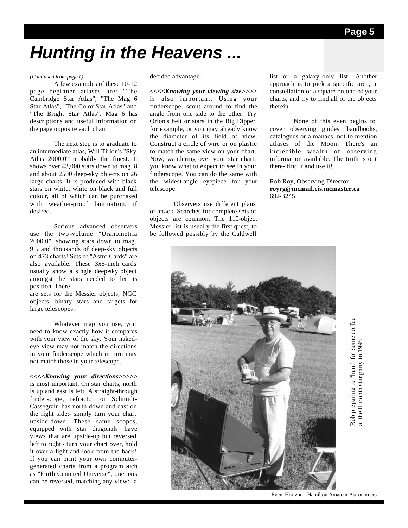# *Hunting in the Heavens ...*

#### *(Continued from page 1)*

 A few examples of these 10-12 page beginner atlases are: "The Cambridge Star Atlas", "The Mag 6 Star Atlas", "The Color Star Atlas" and "The Bright Star Atlas". Mag 6 has descriptions and useful information on the page opposite each chart.

 The next step is to graduate to an intermediate atlas, Will Tirion's "Sky Atlas 2000.0" probably the finest. It shows over 43,000 stars down to mag. 8 and about 2500 deep-sky objects on 26 large charts. It is produced with black stars on white, white on black and full colour, all of which can be purchased with weather-proof lamination, if desired.

 Serious advanced observers use the two -volume "Uranometria 2000.0", showing stars down to mag. 9.5 and thousands of deep-sky objects on 473 charts! Sets of "Astro Cards" are also available. These 3x5-inch cards usually show a single deep-sky object amongst the stars needed to fix its position. There

are sets for the Messier objects, NGC objects, binary stars and targets for large telescopes.

 Whatever map you use, you need to know exactly how it compares with your view of the sky. Your nakedeye view may not match the directions in your finderscope which in turn may not match those in your telescope.

*<<<<Knowing your directions>>>>>* is most important. On star charts, north is up and east is left. A straight-through finderscope, refractor or Schmidt-Cassegrain has north down and east on the right side:- simply turn your chart upside-down. These same scopes, equipped with star diagonals have views that are upside-up but reversed left to right:- turn your chart over, hold it over a light and look from the back! If you can print your own computergenerated charts from a program such as "Earth Centered Universe", one axis can be reversed, matching any view:- a

decided advantage.

*<<<<Knowing your viewing size>>>>* is also important. Using your finderscope, scout around to find the angle from one side to the other. Try Orion's belt or stars in the Big Dipper, for example, or you may already know the diameter of its field of view. Construct a circle of wire or on plastic to match the same view on your chart. Now, wandering over your star chart, you know what to expect to see in your finderscope. You can do the same with the widest-angle eyepiece for your telescope.

 Observers use different plans of attack. Searches for complete sets of objects are common. The 110-object Messier list is usually the first quest, to be followed possibly by the Caldwell

list or a galaxy -only list. Another approach is to pick a specific area, a constellation or a square on one of your charts, and try to find all of the objects therein.

 None of this even begins to cover observing guides, handbooks, catalogues or almanacs, not to mention atlases of the Moon. There's an incredible wealth of observing information available. The truth is out there- find it and use it!

Rob Roy, Observing Director **royrg@mcmail.cis.mcmaster.ca** 692-3245



Rob preparing to "hunt" for some coffee Rob preparing to "hunt" for some coffee<br>at the Huronia star party in 1995. at the Huronia star party in 1995.

Event Horizon - Hamilton Amateur Astronomers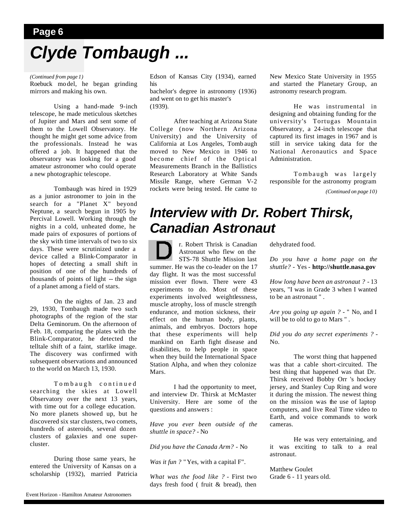### **Page 6** *Clyde Tombaugh ...*

#### *(Continued from page 1)*

Roebuck mo del, he began grinding mirrors and making his own.

 Using a hand-made 9-inch telescope, he made meticulous sketches of Jupiter and Mars and sent some of them to the Lowell Observatory. He thought he might get some advice from the professionals. Instead he was offered a job. It happened that the observatory was looking for a good amateur astronomer who could operate a new photographic telescope.

 Tombaugh was hired in 1929 as a junior astronomer to join in the search for a "Planet X" beyond Neptune, a search begun in 1905 by Percival Lowell. Working through the nights in a cold, unheated dome, he made pairs of exposures of portions of the sky with time intervals of two to six days. These were scrutinized under a device called a Blink-Comparator in hopes of detecting a small shift in position of one of the hundreds of thousands of points of light -- the sign of a planet among a field of stars.

 On the nights of Jan. 23 and 29, 1930, Tombaugh made two such photographs of the region of the star Delta Geminorum. On the afternoon of Feb. 18, comparing the plates with the Blink-Comparator, he detected the telltale shift of a faint, starlike image. The discovery was confirmed with subsequent observations and announced to the world on March 13, 1930.

 Tombaugh continued searching the skies at Lowell Observatory over the next 13 years, with time out for a college education. No more planets showed up, but he discovered six star clusters, two comets, hundreds of asteroids, several dozen clusters of galaxies and one supercluster.

 During those same years, he entered the University of Kansas on a scholarship (1932), married Patricia Edson of Kansas City (1934), earned his

bachelor's degree in astronomy (1936) and went on to get his master's (1939).

 After teaching at Arizona State College (now Northern Arizona University) and the University of California at Los Angeles, Tomb augh moved to New Mexico in 1946 to become chief of the Optical Measurements Branch in the Ballistics Research Laboratory at White Sands Missile Range, where German V-2 rockets were being tested. He came to New Mexico State University in 1955 and started the Planetary Group, an astronomy research program.

 He was instrumental in designing and obtaining funding for the university's Tortugas Mountain Observatory, a 24-inch telescope that captured its first images in 1967 and is still in service taking data for the National Aeronautics and Space Administration.

 Tombaugh was largely responsible for the astronomy program

*(Continued on page 10)*

### *Interview with Dr. Robert Thirsk, Canadian Astronaut*

r. Robert Thrisk is Canadian Astronaut who flew on the STS-78 Shuttle Mission last summer. He was the co-leader on the 17 day flight. It was the most successful mission ever flown. There were 43 experiments to do. Most of these experiments involved weightlessness, muscle atrophy, loss of muscle strength endurance, and motion sickness, their effect on the human body, plants, animals, and embryos. Doctors hope that these experiments will help mankind on Earth fight disease and disabilities, to help people in space when they build the International Space Station Alpha, and when they colonize Mars.

 I had the opportunity to meet, and interview Dr. Thirsk at McMaster University. Here are some of the questions and answers :

*Have you ever been outside of the shuttle in space?* - No

*Did you have the Canada Arm?* - No

*Was it fun ?* "Yes, with a capital F".

*What was the food like ?* - First two days fresh food ( fruit & bread), then

dehydrated food.

*Do you have a home page on the shuttle?* - Yes - **http://shuttle.nasa.gov**

*How long have been an astronaut ?* - 13 years, "I was in Grade 3 when I wanted to be an astronaut " .

*Are you going up again ?* - " No, and I will be to old to go to Mars " .

*Did you do any secret experiments ?* - No.

 The worst thing that happened was that a cable short-circuited. The best thing that happened was that Dr. Thirsk received Bobby Orr 's hockey jersey, and Stanley Cup Ring and wore it during the mission. The newest thing on the mission was the use of laptop computers, and live Real Time video to Earth, and voice commands to work cameras.

 He was very entertaining, and it was exciting to talk to a real astronaut.

Matthew Goulet Grade 6 - 11 years old.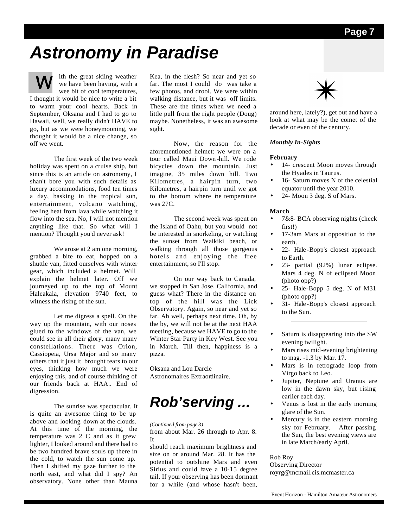# *Astronomy in Paradise*

ith the great skiing weather we have been having, with a wee bit of cool temperatures, I thought it would be nice to write a bit

to warm your cool hearts. Back in September, Oksana and I had to go to Hawaii, well, we really didn't HAVE to go, but as we were honeymooning, we thought it would be a nice change, so off we went.

 The first week of the two week holiday was spent on a cruise ship, but since this is an article on astronomy, I shan't bore you with such details as luxury accommodations, food ten times a day, basking in the tropical sun, entertainment, volcano watching, feeling heat from lava while watching it flow into the sea. No, I will not mention anything like that. So what will I mention? Thought you'd never ask!

We arose at 2 am one morning, grabbed a bite to eat, hopped on a shuttle van, fitted ourselves with winter gear, which included a helmet. Will explain the helmet later. Off we journeyed up to the top of Mount Haleakala, elevation 9740 feet, to witness the rising of the sun.

 Let me digress a spell. On the way up the mountain, with our noses glued to the windows of the van, we could see in all their glory, many many constellations. There was Orion, Cassiopeia, Ursa Major and so many others that it just it brought tears to our eyes, thinking how much we were enjoying this, and of course thinking of our friends back at HAA.. End of digression.

 The sunrise was spectacular. It is quite an awesome thing to be up above and looking down at the clouds. At this time of the morning, the temperature was 2 C and as it grew lighter, I looked around and there had to be two hundred brave souls up there in the cold, to watch the sun come up. Then I shifted my gaze further to the north east, and what did I spy? An observatory. None other than Mauna

Kea, in the flesh? So near and yet so far. The most I could do was take a few photos, and drool. We were within walking distance, but it was off limits. These are the times when we need a little pull from the right people (Doug) maybe. Nonetheless, it was an awesome sight.

 Now, the reason for the aforementioned helmet: we were on a tour called Maui Down -hill. We rode bicycles down the mountain. Just imagine, 35 miles down hill. Two Kilometres, a hairpin turn, two Kilometres, a hairpin turn until we got to the bottom where the temperature was 27C.

 The second week was spent on the Island of Oahu, but you would not be interested in snorkeling, or watching the sunset from Waikiki beach, or walking through all those gorgeous hotels and enjoying the free entertainment, so I'll stop.

 On our way back to Canada, we stopped in San Jose, California, and guess what? There in the distance on top of the hill was the Lick Observatory. Again, so near and yet so far. Ah well, perhaps next time. Oh, by the by, we will not be at the next HAA meeting, because we HAVE to go to the Winter Star Party in Key West. See you in March. Till then, happiness is a pizza.

Oksana and Lou Darcie Astronomaires Extraordinaire.

### *Rob'serving ...*

*(Continued from page 3)*

from about Mar. 26 through to Apr. 8. It

should reach maximum brightness and size on or around Mar. 28. It has the potential to outshine Mars and even Sirius and could have a 10-15 degree tail. If your observing has been dormant for a while (and whose hasn't been,



around here, lately?), get out and have a look at what may be the comet of the decade or even of the century.

#### *Monthly In-Sights*

#### **February**

- 14- crescent Moon moves through the Hyades in Taurus.
- 16- Saturn moves N of the celestial equator until the year 2010.
- 24- Moon 3 deg. S of Mars.

#### **March**

- 7&8- BCA observing nights (check first!)
- 17-3am Mars at opposition to the earth.
- 22- Hale -Bopp's closest approach to Earth.
- 23- partial (92%) lunar eclipse. Mars 4 deg. N of eclipsed Moon (photo opp?)
- 25- Hale-Bopp 5 deg. N of M31 (photo opp?)
- 31- Hale -Bopp's closest approach to the Sun.
- Saturn is disappearing into the SW evening twilight.
- Mars rises mid-evening brightening to mag. -1.3 by Mar. 17.
- Mars is in retrograde loop from Virgo back to Leo.
- Jupiter, Neptune and Uranus are low in the dawn sky, but rising earlier each day.
- Venus is lost in the early morning glare of the Sun.
- Mercury is in the eastern morning sky for February. After passing the Sun, the best evening views are in late March/early April.

#### Rob Roy

Observing Director royrg@mcmail.cis.mcmaster.ca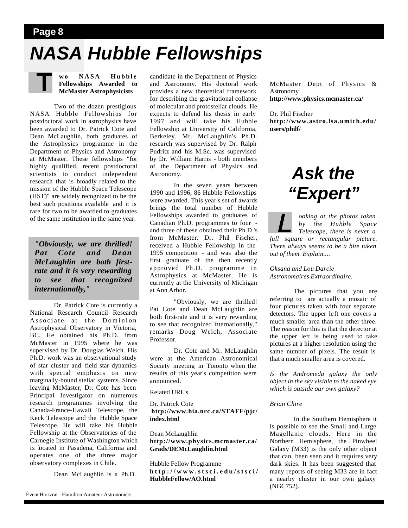#### **Page 8**

# *NASA Hubble Fellowships*

**wo NASA Hubble Fellowships Awarded to McMaster Astrophysicists**

 Two of the dozen prestigious NASA Hubble Fellowships for postdoctoral work in astrophysics have been awarded to Dr. Patrick Cote and Dean McLaughlin, both graduates of the Astrophysics programme in the Department of Physics and Astronomy at McMaster. These fellowships "for highly qualified, recent postdoctoral scientists to conduct independent research that is broadly related to the mission of the Hubble Space Telescope (HST)" are widely recognized to be the best such positions available and it is rare for two to be awarded to graduates of the same institution in the same year.

*"Obviously, we are thrilled! Pat Cote and Dean McLaughlin are both firstrate and it is very rewarding to see that recognized internationally,"* 

 Dr. Patrick Cote is currently a National Research Council Research Associate at the Dominion Astrophysical Observatory in Victoria, BC. He obtained his Ph.D. from McMaster in 1995 where he was supervised by Dr. Douglas Welch. His Ph.D. work was an observational study of star cluster and field star dynamics with special emphasis on new marginally-bound stellar systems. Since leaving McMaster, Dr. Cote has been Principal Investigator on numerous research programmes involving the Canada-France-Hawaii Telescope, the Keck Telescope and the Hubble Space Telescope. He will take his Hubble Fellowship at the Observatories of the Carnegie Institute of Washington which is located in Pasadena, California and operates one of the three major observatory complexes in Chile.

Dean McLaughlin is a Ph.D.

candidate in the Department of Physics and Astronomy. His doctoral work provides a new theoretical framework for describing the gravitational collapse of molecular and protostellar clouds. He expects to defend his thesis in early 1997 and will take his Hubble Fellowship at University of California, Berkeley. Mr. McLaughlin's Ph.D. research was supervised by Dr. Ralph Pudritz and his M.Sc. was supervised by Dr. William Harris - both members of the Department of Physics and Astronomy.

 In the seven years between 1990 and 1996, 86 Hubble Fellowships were awarded. This year's set of awards brings the total number of Hubble Fellowships awarded to graduates of Canadian Ph.D. programmes to four and three of these obtained their Ph.D.'s from McMaster. Dr. Phil Fischer, received a Hubble Fellowship in the 1995 competition - and was also the first graduate of the then recently approved Ph.D. programme in Astrophysics at McMaster. He is currently at the University of Michigan at Ann Arbor.

 "Obviously, we are thrilled! Pat Cote and Dean McLaughlin are both first-rate and it is very rewarding to see that recognized internationally," remarks Doug Welch, Associate Professor.

 Dr. Cote and Mr. McLaughlin were at the American Astronomical Society meeting in Toronto when the results of this year's competition were announced.

Related URL's

Dr. Patrick Cote **http://www.hia.nrc.ca/STAFF/pjc/ index.html**

Dean McLaughlin **http://www.physics.mcmaster.ca/ Grads/DEMcLaughlin.html**

Hubble Fellow Programme **http://www.stsci.edu/stsci/ HubbleFellow/AO.html**

McMaster Dept of Physics & Astronomy **http://www.physics.mcmaster.ca/**

Dr. Phil Fischer **http://www.astro.lsa.umich.edu/ users/philf/**

# *Ask the "Expert"*

*ooking at the photos taken by the Hubble Space Telescope, there is never a full square or rectangular picture. There always seems to be a bite taken out of them. Explain....*

*Oksana and Lou Darcie Astronomaires Extraordinaire.*

 The pictures that you are referring to are actually a mosaic of four pictures taken with four separate detectors. The upper left one covers a much smaller area than the other three. The reason for this is that the detector at the upper left is being used to take pictures at a higher resolution using the same number of pixels. The result is that a much smaller area is covered.

*Is the Andromeda galaxy the only object in the sky visible to the naked eye which is outside our own galaxy?*

#### *Brian Chire*

 In the Southern Hemisphere it is possible to see the Small and Large Magellanic clouds. Here in the Northern Hemisphere, the Pinwheel Galaxy (M33) is the only other object that can been seen and it requires very dark skies. It has been suggested that many reports of seeing M33 are in fact a nearby cluster in our own galaxy (NGC752).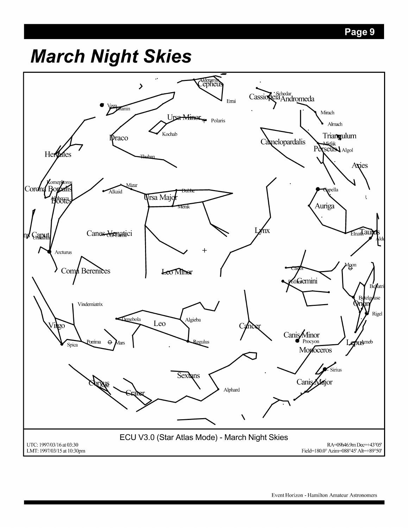# **March Night Skies**